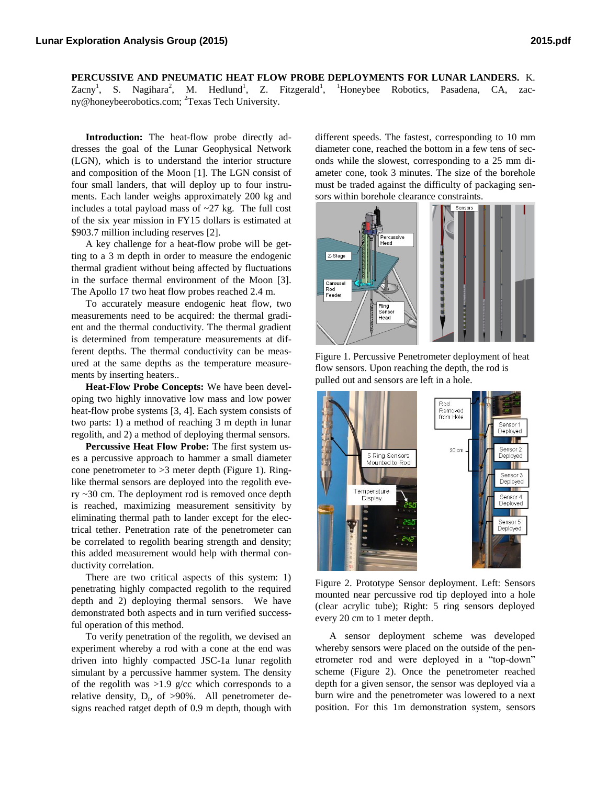**PERCUSSIVE AND PNEUMATIC HEAT FLOW PROBE DEPLOYMENTS FOR LUNAR LANDERS.** K. Zacny<sup>1</sup>, S. Nagihara<sup>2</sup>, M. Hedlund<sup>1</sup>, Z. Fitzgerald<sup>1</sup>, <sup>1</sup>Honeybee Robotics, Pasadena, CA, zacny@honeybeerobotics.com; <sup>2</sup>Texas Tech University.

**Introduction:** The heat-flow probe directly addresses the goal of the Lunar Geophysical Network (LGN), which is to understand the interior structure and composition of the Moon [1]. The LGN consist of four small landers, that will deploy up to four instruments. Each lander weighs approximately 200 kg and includes a total payload mass of  $\sim$ 27 kg. The full cost of the six year mission in FY15 dollars is estimated at \$903.7 million including reserves [2].

A key challenge for a heat-flow probe will be getting to a 3 m depth in order to measure the endogenic thermal gradient without being affected by fluctuations in the surface thermal environment of the Moon [3]. The Apollo 17 two heat flow probes reached 2.4 m.

To accurately measure endogenic heat flow, two measurements need to be acquired: the thermal gradient and the thermal conductivity. The thermal gradient is determined from temperature measurements at different depths. The thermal conductivity can be measured at the same depths as the temperature measurements by inserting heaters..

**Heat-Flow Probe Concepts:** We have been developing two highly innovative low mass and low power heat-flow probe systems [3, 4]. Each system consists of two parts: 1) a method of reaching 3 m depth in lunar regolith, and 2) a method of deploying thermal sensors.

**Percussive Heat Flow Probe:** The first system uses a percussive approach to hammer a small diameter cone penetrometer to  $>3$  meter depth (Figure 1). Ringlike thermal sensors are deployed into the regolith every ~30 cm. The deployment rod is removed once depth is reached, maximizing measurement sensitivity by eliminating thermal path to lander except for the electrical tether. Penetration rate of the penetrometer can be correlated to regolith bearing strength and density; this added measurement would help with thermal conductivity correlation.

There are two critical aspects of this system: 1) penetrating highly compacted regolith to the required depth and 2) deploying thermal sensors. We have demonstrated both aspects and in turn verified successful operation of this method.

To verify penetration of the regolith, we devised an experiment whereby a rod with a cone at the end was driven into highly compacted JSC-1a lunar regolith simulant by a percussive hammer system. The density of the regolith was  $>1.9$  g/cc which corresponds to a relative density,  $D_r$ , of  $>90\%$ . All penetrometer designs reached ratget depth of 0.9 m depth, though with

different speeds. The fastest, corresponding to 10 mm diameter cone, reached the bottom in a few tens of seconds while the slowest, corresponding to a 25 mm diameter cone, took 3 minutes. The size of the borehole must be traded against the difficulty of packaging sensors within borehole clearance constraints.



Figure 1. Percussive Penetrometer deployment of heat flow sensors. Upon reaching the depth, the rod is pulled out and sensors are left in a hole.



Figure 2. Prototype Sensor deployment. Left: Sensors mounted near percussive rod tip deployed into a hole (clear acrylic tube); Right: 5 ring sensors deployed every 20 cm to 1 meter depth.

A sensor deployment scheme was developed whereby sensors were placed on the outside of the penetrometer rod and were deployed in a "top-down" scheme (Figure 2). Once the penetrometer reached depth for a given sensor, the sensor was deployed via a burn wire and the penetrometer was lowered to a next position. For this 1m demonstration system, sensors